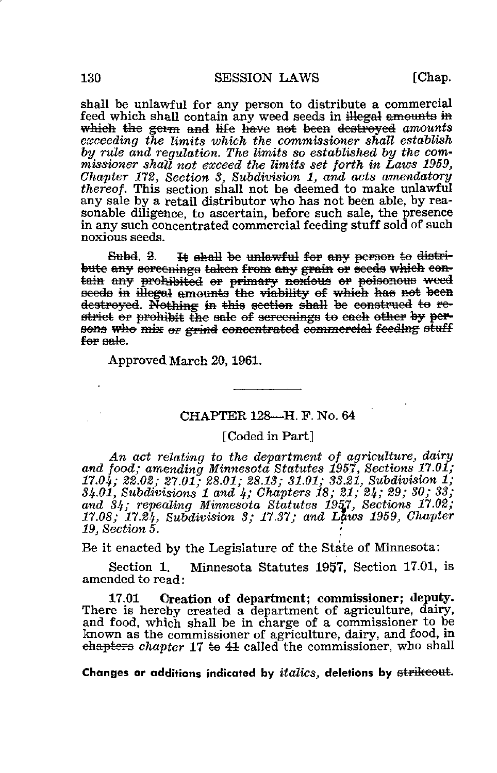[Chap.

shall be unlawful for any person to distribute a commercial feed which shall contain any weed seeds in illegal amounts in which the germ and life have not been destroyed amounts exceeding the limits which the commissioner shall establish by rule and requilation. The limits so established by the commissioner shall not exceed the limits set forth in Laws 1959, Chapter 172, Section 3, Subdivision 1, and acts amendatory thereof. This section shall not be deemed to make unlawful any sale by a retail distributor who has not been able, by reasonable diligence, to ascertain, before such sale, the presence in any such concentrated commercial feeding stuff sold of such noxious seeds.

Subd. 2. It shall be unlawful for any person to distribute any sereenings taken from any grain or seeds which contain any prohibited or primary noxious or poisonous weed seeds in illegal amounts the viability of which has not been destroyed. Nothing in this section shall be construed to restrict or prohibit the sale of sereenings to each other by persons who mix or grind concentrated commercial feeding stuff for eale.

Approved March 20, 1961.

## CHAPTER 128-H. F. No. 64

## [Coded in Part]

An act relating to the department of agriculture, dairy and food; amending Minnesota Statutes 1957, Sections 17.01;  $17.04$ ; 22.02; 27.01; 28.01; 28.13; 31.01; 33.21, Subdivision 1;  $34.01$ , Subdivisions 1 and 4; Chapters 18; 21, 24; 29; 30; 33; and 34; repealing Minnesota Statutes 1957, Sections 17.02; 17.08; 17.24, Subdivision 3; 17.37; and Laws 1959, Chapter  $19, Section 5.$ 

Be it enacted by the Legislature of the State of Minnesota:

Minnesota Statutes 1957, Section 17.01, is Section 1. amended to read:

Creation of department; commissioner; deputy. 17.01 There is hereby created a department of agriculture, dairy, and food, which shall be in charge of a commissioner to be known as the commissioner of agriculture, dairy, and food, in chapters chapter  $17 \div 41$  called the commissioner, who shall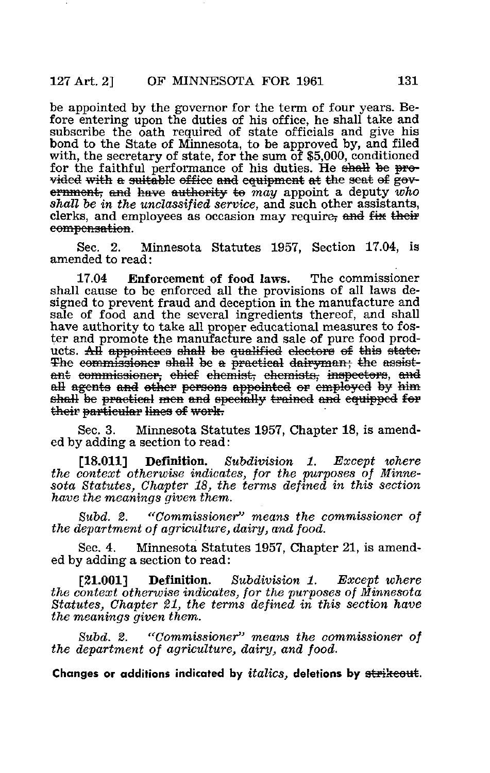be appointed by the governor for the term of four years. Before entering upon the duties of his office, he shall take and subscribe the oath required of state officials and give his bond to the State of Minnesota, to be approved by, and filed with, the secretary of state, for the sum of \$5,000, conditioned for the faithful performance of his duties. He shall be  $pero$ vided with a suitable office and equipment at the seat of government, and have authority to may appoint a deputy who shall be in the unclassified service, and such other assistants, clerks, and employees as occasion may require, and  $f_{xx}$  their compensation.

Sec. 2. Minnesota Statutes 1957, Section 17.04, is amended to read:

17.04 Enforcement of food laws. The commissioner shall cause to be enforced all the provisions of all laws designed to prevent fraud and deception in the manufacture and sale of food and the several ingredients thereof, and shall have authority to take all proper educational measures to foster and promote the manufacture and sale of pure food products. All appointees shall be qualified electors of this state. The commissioner shall be a practical dairyman; the assistant commissioner, chief chemist, chemists, inspectors, all agents and other persons appointed or employed by shall be practical men and specially trained and equipped for their particular lines of work.

Sec. 3. Minnesota Statutes 1957, Chapter 18, is amended by adding a section to read:

[18.011] Definition. Subdivision 1. Except where the context otherwise indicates, for the purposes of Minnesota Statutes, Chapter 18, the terms defined in this section have the meanings given them.

Subd. 2. "Commissioner" means the commissioner of the department of agriculture, dairy, and food.

Sec. 4. Minnesota Statutes 1957, Chapter 21, is amended by adding a section to read:

[21.001] Definition. Subdivision 1. Except where the context otherwise indicates, for the purposes of Minnesota Statutes, Chapter 21, the terms defined in this section have the meanings given them.

Subd. 2. "Commissioner" means the commissioner of the department of agriculture, dairy, and food.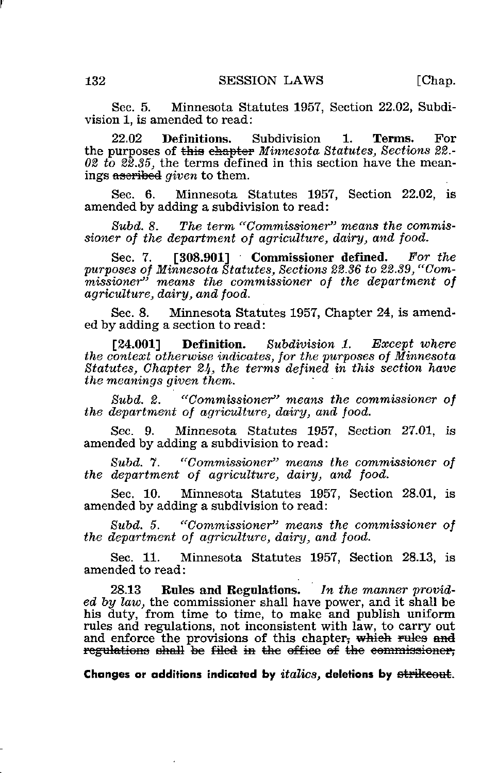Sec. 5. Minnesota Statutes 1957, Section 22.02, Subdivision 1, is amended to read:

22.02 Definitions. Subdivision 1. Terms. For the purposes of this chapter Minnesota Statutes, Sections 22.-02 to  $\ell\bar{2}$ ,  $\ell\bar{2}$ , the terms defined in this section have the meanings aseribed *given* to them.

Sec. 6. Minnesota Statutes 1957, Section 22.02, is amended by adding a subdivision to read:

Subd. 8. The term "Commissioner" means the commissioner of the department of agriculture, dairy, and food.

Sec. 7. [308.901] Commissioner defined. For the purposes of Minnesota Statutes, Sections 22.36 to 22.39, "Compar poses of intrincental statutes, sections 22.50 to 22.50, comagriculture, dairy, and food.

Sec. 8. Minnesota Statutes 1957, Chapter 24, is amended by adding a section to read:

[24.001] **Definition.** Subdivision 1. Except where the context otherwise indicates, for the purposes of Minnesota Statutes, Chapter 24, the terms defined in this section have the meanings given them.

Subd. 2. "Commissioner" means the commissioner of the department of agriculture, dairy, and food.

Sec. 9. Minnesota Statutes 1957, Section 27.01, is amended by adding a subdivision to read:

Subd. 7. "Commissioner" means the commissioner of the department of agriculture, dairy, and food.

Sec. 10. Minnesota Statutes 1957, Section 28.01, is amended by adding a subdivision to read:

Subd. 5. "Commissioner" means the commissioner of the department of agriculture, dairy, and food.

Sec. 11. Minnesota Statutes 1957, Section 28.13, is amended to read:

28.13 Rules and Regulations. In the manner provided by law, the commissioner shall have power, and it shall be his duty, from time to time, to make and publish uniform rules and regulations, not inconsistent with law, to carry out and enforce the provisions of this chapter; which rules and regulations shall be filed in the office of the commissioner,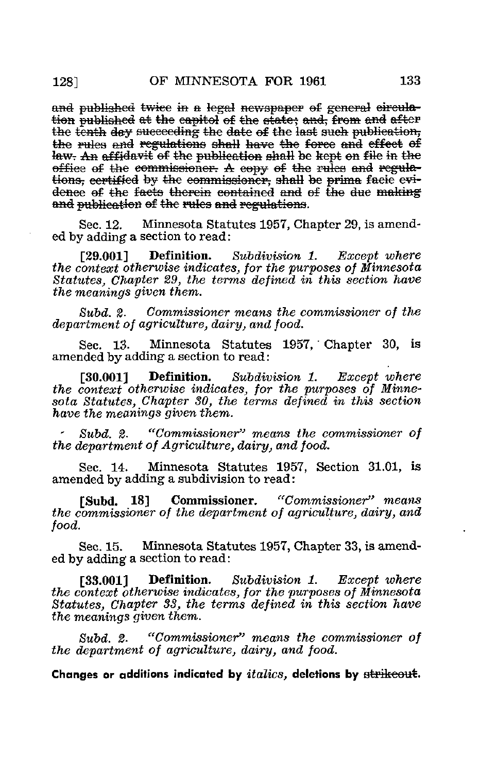and published twice in a legal newspaper of general circulation published at the capitol of the state; and, from and after the tenth day succeeding the date of the last such publication, the rules and regulations shall have the force and effect of law. An affidavit of the publication shall be kept on file in the office of the commissioner. A copy of the rules and regulations, certified by the commissioner, shall be prima facie evidence of the facts therein contained and of the due making and publication of the rules and regulations.

Minnesota Statutes 1957, Chapter 29, is amend-Sec. 12. ed by adding a section to read:

Definition. Subdivision 1. Except where [29.001] the context otherwise indicates, for the purposes of Minnesota Statutes, Chapter 29, the terms defined in this section have the meanings given them.

 $Subd.$  2. Commissioner means the commissioner of the department of agriculture, dairy, and food.

Sec. 13. Minnesota Statutes 1957, Chapter 30, is amended by adding a section to read:

 $130.0011$ Definition. Subdivision 1. Except where the context otherwise indicates, for the purposes of Minnesota Statutes, Chapter 30, the terms defined in this section have the meanings given them.

 $Subd<sub>2</sub>$ . "Commissioner" means the commissioner of the department of Agriculture, dairy, and food.

Sec. 14. Minnesota Statutes 1957, Section 31.01, is amended by adding a subdivision to read:

"Commissioner" means [Subd. 18] Commissioner. the commissioner of the department of agriculture, dairy, and food.

Sec. 15. Minnesota Statutes 1957, Chapter 33, is amended by adding a section to read:

Subdivision 1. [33.0011 Definition. Except where the context otherwise indicates, for the purposes of Minnesota Statutes, Chapter 33, the terms defined in this section have the meanings given them.

"Commissioner" means the commissioner of  $Subd. 2.$ the department of agriculture, dairy, and food.